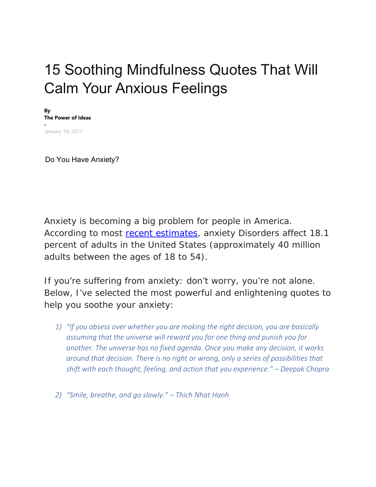## 15 Soothing Mindfulness Quotes That Will Calm Your Anxious Feelings

**By The Power of Ideas -**  January 14, 2017

Do You Have Anxiety?

Anxiety is becoming a big problem for people in America. According to most recent estimates, anxiety Disorders affect 18.1 percent of adults in the United States (approximately 40 million adults between the ages of 18 to 54).

If you're suffering from anxiety: don't worry, you're not alone. Below, I've selected the most powerful and enlightening quotes to help you soothe your anxiety:

- *1) "If you obsess over whether you are making the right decision, you are basically assuming that the universe will reward you for one thing and punish you for another. The universe has no fixed agenda. Once you make any decision, it works around that decision. There is no right or wrong, only a series of possibilities that shift with each thought, feeling, and action that you experience." – Deepak Chopra*
- *2) "Smile, breathe, and go slowly." Thich Nhat Hanh*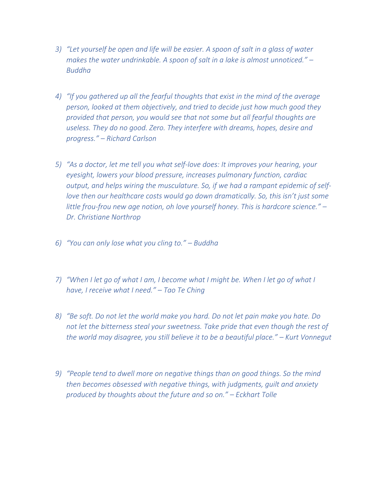- *3) "Let yourself be open and life will be easier. A spoon of salt in a glass of water makes the water undrinkable. A spoon of salt in a lake is almost unnoticed." – Buddha*
- *4) "If you gathered up all the fearful thoughts that exist in the mind of the average person, looked at them objectively, and tried to decide just how much good they provided that person, you would see that not some but all fearful thoughts are useless. They do no good. Zero. They interfere with dreams, hopes, desire and progress." – Richard Carlson*
- *5) "As a doctor, let me tell you what self‐love does: It improves your hearing, your eyesight, lowers your blood pressure, increases pulmonary function, cardiac output, and helps wiring the musculature. So, if we had a rampant epidemic of self‐ love then our healthcare costs would go down dramatically. So, this isn't just some little frou‐frou new age notion, oh love yourself honey. This is hardcore science." – Dr. Christiane Northrop*
- *6) "You can only lose what you cling to." Buddha*
- *7) "When I let go of what I am, I become what I might be. When I let go of what I have, I receive what I need." – Tao Te Ching*
- *8) "Be soft. Do not let the world make you hard. Do not let pain make you hate. Do not let the bitterness steal your sweetness. Take pride that even though the rest of the world may disagree, you still believe it to be a beautiful place." – Kurt Vonnegut*
- *9) "People tend to dwell more on negative things than on good things. So the mind then becomes obsessed with negative things, with judgments, guilt and anxiety produced by thoughts about the future and so on." – Eckhart Tolle*